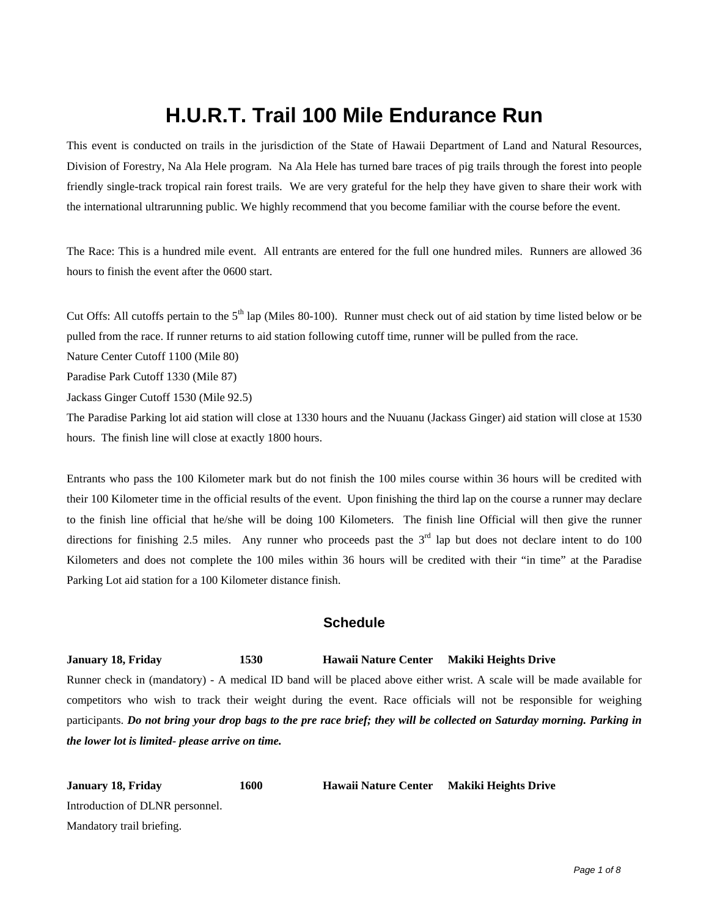## **H.U.R.T. Trail 100 Mile Endurance Run**

This event is conducted on trails in the jurisdiction of the State of Hawaii Department of Land and Natural Resources, Division of Forestry, Na Ala Hele program. Na Ala Hele has turned bare traces of pig trails through the forest into people friendly single-track tropical rain forest trails. We are very grateful for the help they have given to share their work with the international ultrarunning public. We highly recommend that you become familiar with the course before the event.

The Race: This is a hundred mile event. All entrants are entered for the full one hundred miles. Runners are allowed 36 hours to finish the event after the 0600 start.

Cut Offs: All cutoffs pertain to the  $5<sup>th</sup>$  lap (Miles 80-100). Runner must check out of aid station by time listed below or be pulled from the race. If runner returns to aid station following cutoff time, runner will be pulled from the race.

Nature Center Cutoff 1100 (Mile 80)

Paradise Park Cutoff 1330 (Mile 87)

Jackass Ginger Cutoff 1530 (Mile 92.5)

The Paradise Parking lot aid station will close at 1330 hours and the Nuuanu (Jackass Ginger) aid station will close at 1530 hours. The finish line will close at exactly 1800 hours.

Entrants who pass the 100 Kilometer mark but do not finish the 100 miles course within 36 hours will be credited with their 100 Kilometer time in the official results of the event. Upon finishing the third lap on the course a runner may declare to the finish line official that he/she will be doing 100 Kilometers. The finish line Official will then give the runner directions for finishing 2.5 miles. Any runner who proceeds past the  $3<sup>rd</sup>$  lap but does not declare intent to do 100 Kilometers and does not complete the 100 miles within 36 hours will be credited with their "in time" at the Paradise Parking Lot aid station for a 100 Kilometer distance finish.

#### **Schedule**

#### **January 18, Friday 1530 Hawaii Nature Center Makiki Heights Drive**

Runner check in (mandatory) - A medical ID band will be placed above either wrist. A scale will be made available for competitors who wish to track their weight during the event. Race officials will not be responsible for weighing participants. *Do not bring your drop bags to the pre race brief; they will be collected on Saturday morning. Parking in the lower lot is limited- please arrive on time.* 

| January 18, Friday              | 1600 | <b>Hawaii Nature Center</b> | Makiki Heights Drive |
|---------------------------------|------|-----------------------------|----------------------|
| Introduction of DLNR personnel. |      |                             |                      |
| Mandatory trail briefing.       |      |                             |                      |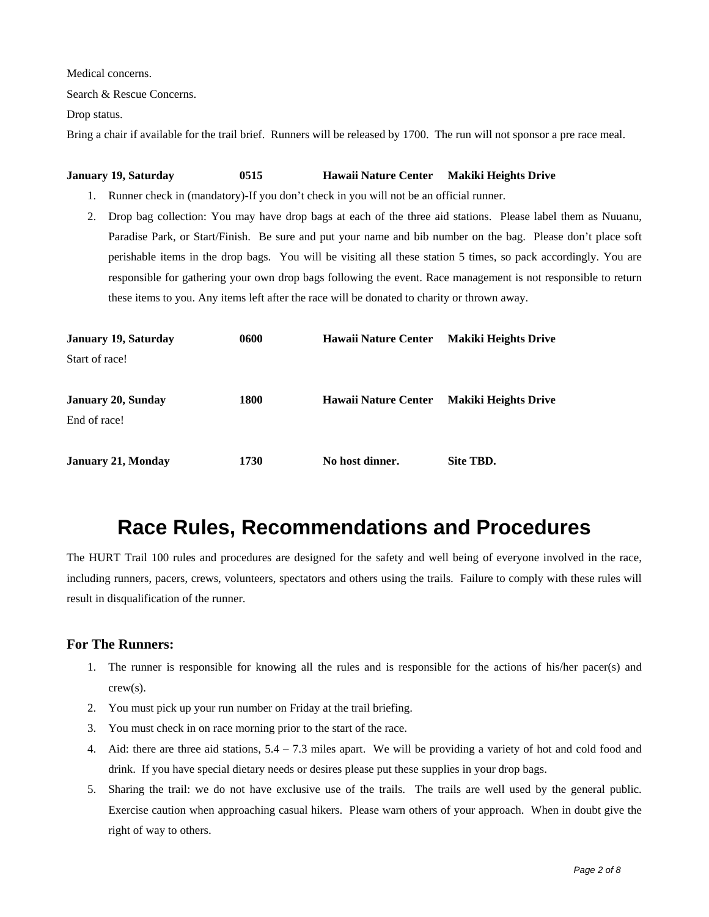Medical concerns.

Search & Rescue Concerns.

Drop status.

Bring a chair if available for the trail brief. Runners will be released by 1700. The run will not sponsor a pre race meal.

#### **January 19, Saturday 0515 Hawaii Nature Center Makiki Heights Drive**

- 1. Runner check in (mandatory)-If you don't check in you will not be an official runner.
- 2. Drop bag collection: You may have drop bags at each of the three aid stations. Please label them as Nuuanu, Paradise Park, or Start/Finish. Be sure and put your name and bib number on the bag. Please don't place soft perishable items in the drop bags. You will be visiting all these station 5 times, so pack accordingly. You are responsible for gathering your own drop bags following the event. Race management is not responsible to return these items to you. Any items left after the race will be donated to charity or thrown away.

| <b>January 19, Saturday</b>               | 0600 | <b>Hawaii Nature Center</b> | <b>Makiki Heights Drive</b> |
|-------------------------------------------|------|-----------------------------|-----------------------------|
| Start of race!                            |      |                             |                             |
| <b>January 20, Sunday</b><br>End of race! | 1800 | <b>Hawaii Nature Center</b> | <b>Makiki Heights Drive</b> |
| <b>January 21, Monday</b>                 | 1730 | No host dinner.             | Site TBD.                   |

## **Race Rules, Recommendations and Procedures**

The HURT Trail 100 rules and procedures are designed for the safety and well being of everyone involved in the race, including runners, pacers, crews, volunteers, spectators and others using the trails. Failure to comply with these rules will result in disqualification of the runner.

#### **For The Runners:**

- 1. The runner is responsible for knowing all the rules and is responsible for the actions of his/her pacer(s) and crew(s).
- 2. You must pick up your run number on Friday at the trail briefing.
- 3. You must check in on race morning prior to the start of the race.
- 4. Aid: there are three aid stations, 5.4 7.3 miles apart. We will be providing a variety of hot and cold food and drink. If you have special dietary needs or desires please put these supplies in your drop bags.
- 5. Sharing the trail: we do not have exclusive use of the trails. The trails are well used by the general public. Exercise caution when approaching casual hikers. Please warn others of your approach. When in doubt give the right of way to others.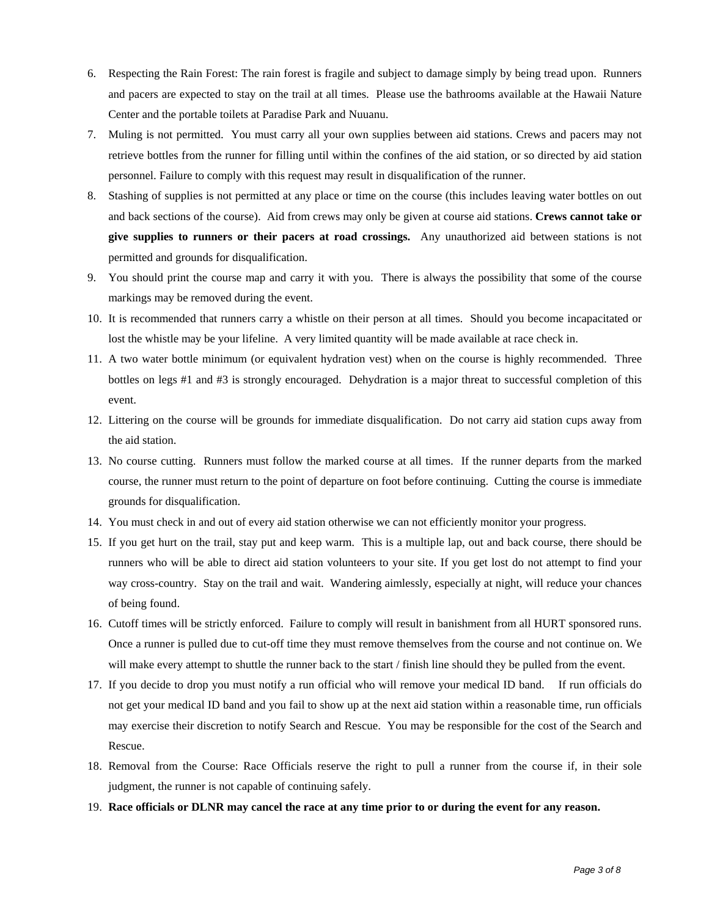- 6. Respecting the Rain Forest: The rain forest is fragile and subject to damage simply by being tread upon. Runners and pacers are expected to stay on the trail at all times. Please use the bathrooms available at the Hawaii Nature Center and the portable toilets at Paradise Park and Nuuanu.
- 7. Muling is not permitted. You must carry all your own supplies between aid stations. Crews and pacers may not retrieve bottles from the runner for filling until within the confines of the aid station, or so directed by aid station personnel. Failure to comply with this request may result in disqualification of the runner.
- 8. Stashing of supplies is not permitted at any place or time on the course (this includes leaving water bottles on out and back sections of the course). Aid from crews may only be given at course aid stations. **Crews cannot take or give supplies to runners or their pacers at road crossings.** Any unauthorized aid between stations is not permitted and grounds for disqualification.
- 9. You should print the course map and carry it with you. There is always the possibility that some of the course markings may be removed during the event.
- 10. It is recommended that runners carry a whistle on their person at all times. Should you become incapacitated or lost the whistle may be your lifeline. A very limited quantity will be made available at race check in.
- 11. A two water bottle minimum (or equivalent hydration vest) when on the course is highly recommended. Three bottles on legs #1 and #3 is strongly encouraged. Dehydration is a major threat to successful completion of this event.
- 12. Littering on the course will be grounds for immediate disqualification. Do not carry aid station cups away from the aid station.
- 13. No course cutting. Runners must follow the marked course at all times. If the runner departs from the marked course, the runner must return to the point of departure on foot before continuing. Cutting the course is immediate grounds for disqualification.
- 14. You must check in and out of every aid station otherwise we can not efficiently monitor your progress.
- 15. If you get hurt on the trail, stay put and keep warm. This is a multiple lap, out and back course, there should be runners who will be able to direct aid station volunteers to your site. If you get lost do not attempt to find your way cross-country. Stay on the trail and wait. Wandering aimlessly, especially at night, will reduce your chances of being found.
- 16. Cutoff times will be strictly enforced. Failure to comply will result in banishment from all HURT sponsored runs. Once a runner is pulled due to cut-off time they must remove themselves from the course and not continue on. We will make every attempt to shuttle the runner back to the start / finish line should they be pulled from the event.
- 17. If you decide to drop you must notify a run official who will remove your medical ID band. If run officials do not get your medical ID band and you fail to show up at the next aid station within a reasonable time, run officials may exercise their discretion to notify Search and Rescue. You may be responsible for the cost of the Search and Rescue.
- 18. Removal from the Course: Race Officials reserve the right to pull a runner from the course if, in their sole judgment, the runner is not capable of continuing safely.
- 19. **Race officials or DLNR may cancel the race at any time prior to or during the event for any reason.**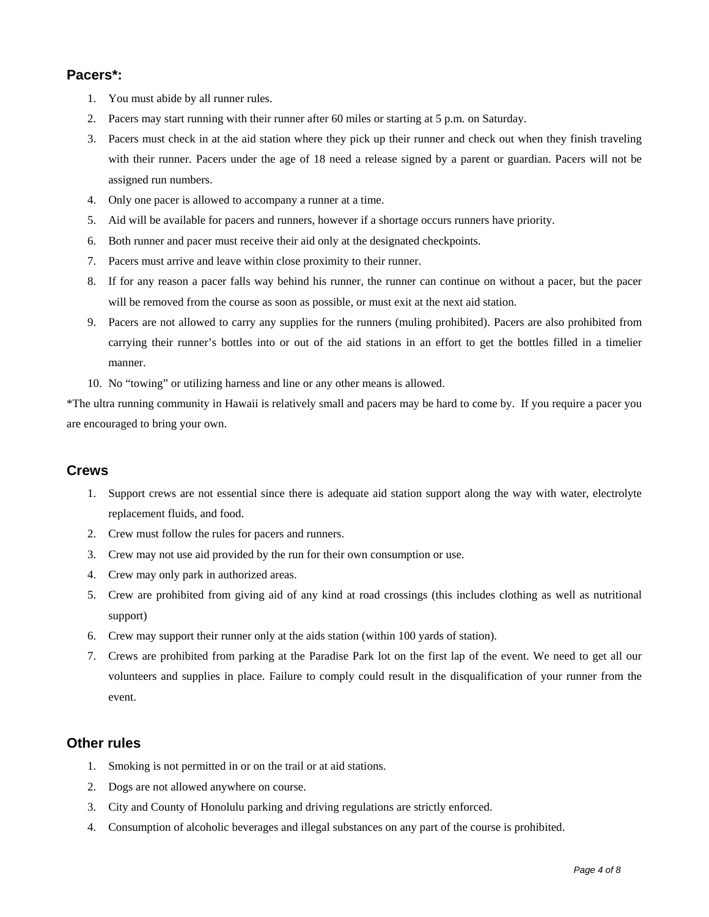### **Pacers\*:**

- 1. You must abide by all runner rules.
- 2. Pacers may start running with their runner after 60 miles or starting at 5 p.m. on Saturday.
- 3. Pacers must check in at the aid station where they pick up their runner and check out when they finish traveling with their runner. Pacers under the age of 18 need a release signed by a parent or guardian. Pacers will not be assigned run numbers.
- 4. Only one pacer is allowed to accompany a runner at a time.
- 5. Aid will be available for pacers and runners, however if a shortage occurs runners have priority.
- 6. Both runner and pacer must receive their aid only at the designated checkpoints.
- 7. Pacers must arrive and leave within close proximity to their runner.
- 8. If for any reason a pacer falls way behind his runner, the runner can continue on without a pacer, but the pacer will be removed from the course as soon as possible, or must exit at the next aid station.
- 9. Pacers are not allowed to carry any supplies for the runners (muling prohibited). Pacers are also prohibited from carrying their runner's bottles into or out of the aid stations in an effort to get the bottles filled in a timelier manner.
- 10. No "towing" or utilizing harness and line or any other means is allowed.

\*The ultra running community in Hawaii is relatively small and pacers may be hard to come by. If you require a pacer you are encouraged to bring your own.

### **Crews**

- 1. Support crews are not essential since there is adequate aid station support along the way with water, electrolyte replacement fluids, and food.
- 2. Crew must follow the rules for pacers and runners.
- 3. Crew may not use aid provided by the run for their own consumption or use.
- 4. Crew may only park in authorized areas.
- 5. Crew are prohibited from giving aid of any kind at road crossings (this includes clothing as well as nutritional support)
- 6. Crew may support their runner only at the aids station (within 100 yards of station).
- 7. Crews are prohibited from parking at the Paradise Park lot on the first lap of the event. We need to get all our volunteers and supplies in place. Failure to comply could result in the disqualification of your runner from the event.

### **Other rules**

- 1. Smoking is not permitted in or on the trail or at aid stations.
- 2. Dogs are not allowed anywhere on course.
- 3. City and County of Honolulu parking and driving regulations are strictly enforced.
- 4. Consumption of alcoholic beverages and illegal substances on any part of the course is prohibited.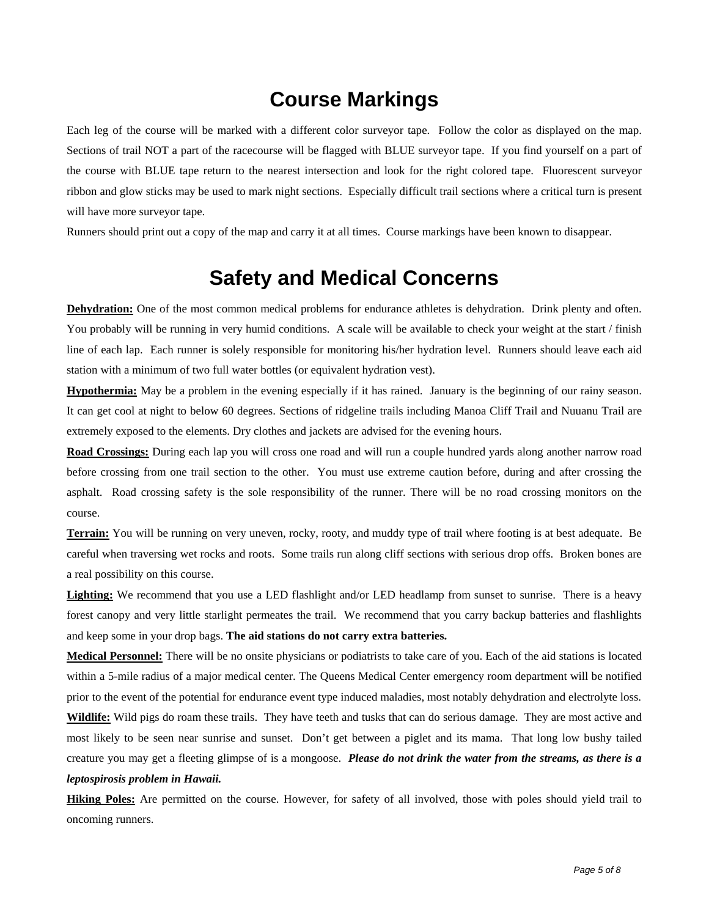## **Course Markings**

Each leg of the course will be marked with a different color surveyor tape. Follow the color as displayed on the map. Sections of trail NOT a part of the racecourse will be flagged with BLUE surveyor tape. If you find yourself on a part of the course with BLUE tape return to the nearest intersection and look for the right colored tape. Fluorescent surveyor ribbon and glow sticks may be used to mark night sections. Especially difficult trail sections where a critical turn is present will have more surveyor tape.

Runners should print out a copy of the map and carry it at all times. Course markings have been known to disappear.

### **Safety and Medical Concerns**

**Dehydration:** One of the most common medical problems for endurance athletes is dehydration. Drink plenty and often. You probably will be running in very humid conditions. A scale will be available to check your weight at the start / finish line of each lap. Each runner is solely responsible for monitoring his/her hydration level. Runners should leave each aid station with a minimum of two full water bottles (or equivalent hydration vest).

**Hypothermia:** May be a problem in the evening especially if it has rained. January is the beginning of our rainy season. It can get cool at night to below 60 degrees. Sections of ridgeline trails including Manoa Cliff Trail and Nuuanu Trail are extremely exposed to the elements. Dry clothes and jackets are advised for the evening hours.

**Road Crossings:** During each lap you will cross one road and will run a couple hundred yards along another narrow road before crossing from one trail section to the other. You must use extreme caution before, during and after crossing the asphalt. Road crossing safety is the sole responsibility of the runner. There will be no road crossing monitors on the course.

**Terrain:** You will be running on very uneven, rocky, rooty, and muddy type of trail where footing is at best adequate. Be careful when traversing wet rocks and roots. Some trails run along cliff sections with serious drop offs. Broken bones are a real possibility on this course.

Lighting: We recommend that you use a LED flashlight and/or LED headlamp from sunset to sunrise. There is a heavy forest canopy and very little starlight permeates the trail. We recommend that you carry backup batteries and flashlights and keep some in your drop bags. **The aid stations do not carry extra batteries.**

**Medical Personnel:** There will be no onsite physicians or podiatrists to take care of you. Each of the aid stations is located within a 5-mile radius of a major medical center. The Queens Medical Center emergency room department will be notified prior to the event of the potential for endurance event type induced maladies, most notably dehydration and electrolyte loss.

**Wildlife:** Wild pigs do roam these trails. They have teeth and tusks that can do serious damage. They are most active and most likely to be seen near sunrise and sunset. Don't get between a piglet and its mama. That long low bushy tailed creature you may get a fleeting glimpse of is a mongoose. *Please do not drink the water from the streams, as there is a leptospirosis problem in Hawaii.* 

**Hiking Poles:** Are permitted on the course. However, for safety of all involved, those with poles should yield trail to oncoming runners.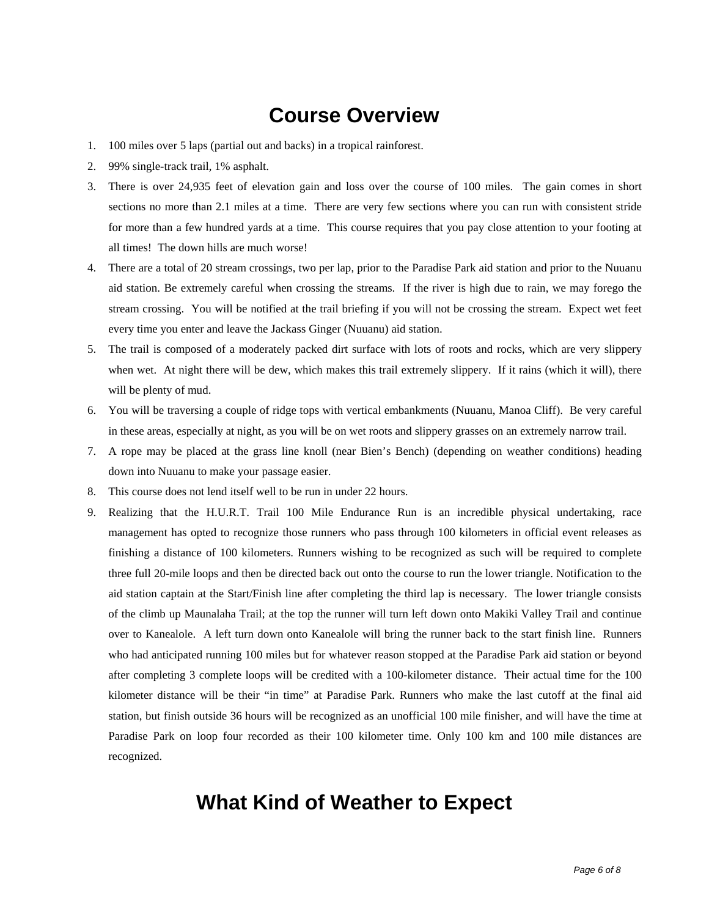## **Course Overview**

- 1. 100 miles over 5 laps (partial out and backs) in a tropical rainforest.
- 2. 99% single-track trail, 1% asphalt.
- 3. There is over 24,935 feet of elevation gain and loss over the course of 100 miles. The gain comes in short sections no more than 2.1 miles at a time. There are very few sections where you can run with consistent stride for more than a few hundred yards at a time. This course requires that you pay close attention to your footing at all times! The down hills are much worse!
- 4. There are a total of 20 stream crossings, two per lap, prior to the Paradise Park aid station and prior to the Nuuanu aid station. Be extremely careful when crossing the streams. If the river is high due to rain, we may forego the stream crossing. You will be notified at the trail briefing if you will not be crossing the stream. Expect wet feet every time you enter and leave the Jackass Ginger (Nuuanu) aid station.
- 5. The trail is composed of a moderately packed dirt surface with lots of roots and rocks, which are very slippery when wet. At night there will be dew, which makes this trail extremely slippery. If it rains (which it will), there will be plenty of mud.
- 6. You will be traversing a couple of ridge tops with vertical embankments (Nuuanu, Manoa Cliff). Be very careful in these areas, especially at night, as you will be on wet roots and slippery grasses on an extremely narrow trail.
- 7. A rope may be placed at the grass line knoll (near Bien's Bench) (depending on weather conditions) heading down into Nuuanu to make your passage easier.
- 8. This course does not lend itself well to be run in under 22 hours.
- 9. Realizing that the H.U.R.T. Trail 100 Mile Endurance Run is an incredible physical undertaking, race management has opted to recognize those runners who pass through 100 kilometers in official event releases as finishing a distance of 100 kilometers. Runners wishing to be recognized as such will be required to complete three full 20-mile loops and then be directed back out onto the course to run the lower triangle. Notification to the aid station captain at the Start/Finish line after completing the third lap is necessary. The lower triangle consists of the climb up Maunalaha Trail; at the top the runner will turn left down onto Makiki Valley Trail and continue over to Kanealole. A left turn down onto Kanealole will bring the runner back to the start finish line. Runners who had anticipated running 100 miles but for whatever reason stopped at the Paradise Park aid station or beyond after completing 3 complete loops will be credited with a 100-kilometer distance. Their actual time for the 100 kilometer distance will be their "in time" at Paradise Park. Runners who make the last cutoff at the final aid station, but finish outside 36 hours will be recognized as an unofficial 100 mile finisher, and will have the time at Paradise Park on loop four recorded as their 100 kilometer time. Only 100 km and 100 mile distances are recognized.

### **What Kind of Weather to Expect**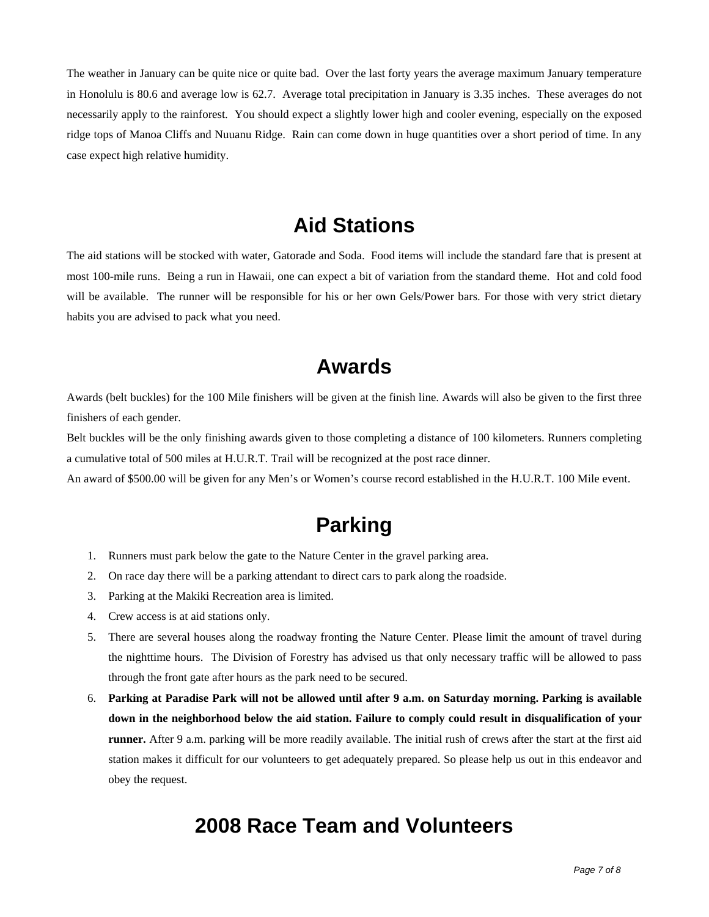The weather in January can be quite nice or quite bad. Over the last forty years the average maximum January temperature in Honolulu is 80.6 and average low is 62.7. Average total precipitation in January is 3.35 inches. These averages do not necessarily apply to the rainforest. You should expect a slightly lower high and cooler evening, especially on the exposed ridge tops of Manoa Cliffs and Nuuanu Ridge. Rain can come down in huge quantities over a short period of time. In any case expect high relative humidity.

### **Aid Stations**

The aid stations will be stocked with water, Gatorade and Soda. Food items will include the standard fare that is present at most 100-mile runs. Being a run in Hawaii, one can expect a bit of variation from the standard theme. Hot and cold food will be available. The runner will be responsible for his or her own Gels/Power bars. For those with very strict dietary habits you are advised to pack what you need.

### **Awards**

Awards (belt buckles) for the 100 Mile finishers will be given at the finish line. Awards will also be given to the first three finishers of each gender.

Belt buckles will be the only finishing awards given to those completing a distance of 100 kilometers. Runners completing a cumulative total of 500 miles at H.U.R.T. Trail will be recognized at the post race dinner.

An award of \$500.00 will be given for any Men's or Women's course record established in the H.U.R.T. 100 Mile event.

## **Parking**

- 1. Runners must park below the gate to the Nature Center in the gravel parking area.
- 2. On race day there will be a parking attendant to direct cars to park along the roadside.
- 3. Parking at the Makiki Recreation area is limited.
- 4. Crew access is at aid stations only.
- 5. There are several houses along the roadway fronting the Nature Center. Please limit the amount of travel during the nighttime hours. The Division of Forestry has advised us that only necessary traffic will be allowed to pass through the front gate after hours as the park need to be secured.
- 6. **Parking at Paradise Park will not be allowed until after 9 a.m. on Saturday morning. Parking is available down in the neighborhood below the aid station. Failure to comply could result in disqualification of your runner.** After 9 a.m. parking will be more readily available. The initial rush of crews after the start at the first aid station makes it difficult for our volunteers to get adequately prepared. So please help us out in this endeavor and obey the request.

### **2008 Race Team and Volunteers**